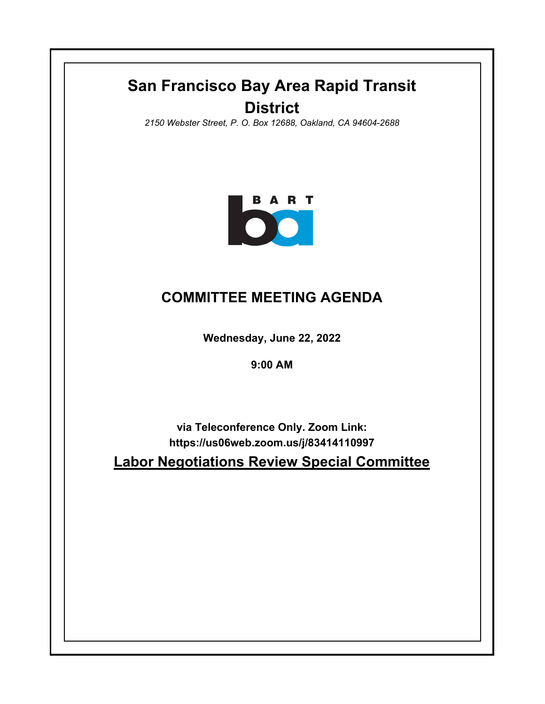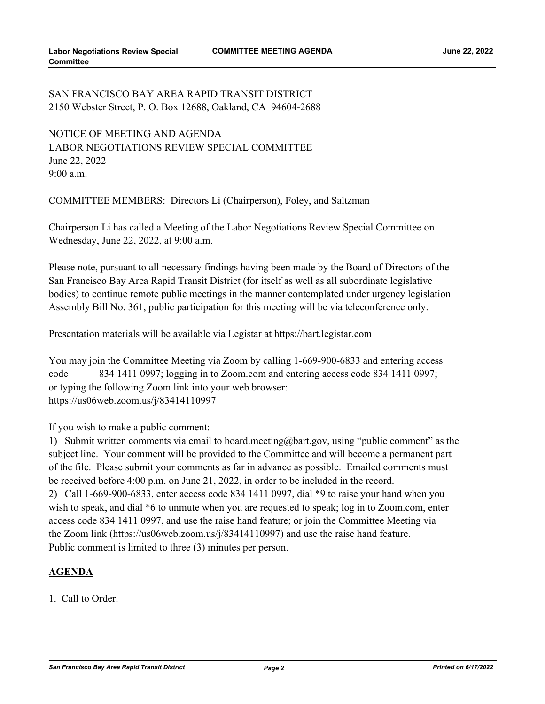## SAN FRANCISCO BAY AREA RAPID TRANSIT DISTRICT 2150 Webster Street, P. O. Box 12688, Oakland, CA 94604-2688

NOTICE OF MEETING AND AGENDA LABOR NEGOTIATIONS REVIEW SPECIAL COMMITTEE June 22, 2022 9:00 a.m.

COMMITTEE MEMBERS: Directors Li (Chairperson), Foley, and Saltzman

Chairperson Li has called a Meeting of the Labor Negotiations Review Special Committee on Wednesday, June 22, 2022, at 9:00 a.m.

Please note, pursuant to all necessary findings having been made by the Board of Directors of the San Francisco Bay Area Rapid Transit District (for itself as well as all subordinate legislative bodies) to continue remote public meetings in the manner contemplated under urgency legislation Assembly Bill No. 361, public participation for this meeting will be via teleconference only.

Presentation materials will be available via Legistar at https://bart.legistar.com

You may join the Committee Meeting via Zoom by calling 1-669-900-6833 and entering access code 834 1411 0997; logging in to Zoom.com and entering access code 834 1411 0997; or typing the following Zoom link into your web browser: https://us06web.zoom.us/j/83414110997

If you wish to make a public comment:

1) Submit written comments via email to board.meeting@bart.gov, using "public comment" as the subject line. Your comment will be provided to the Committee and will become a permanent part of the file. Please submit your comments as far in advance as possible. Emailed comments must be received before 4:00 p.m. on June 21, 2022, in order to be included in the record.

2) Call 1-669-900-6833, enter access code 834 1411 0997, dial \*9 to raise your hand when you wish to speak, and dial  $*6$  to unmute when you are requested to speak; log in to Zoom.com, enter access code 834 1411 0997, and use the raise hand feature; or join the Committee Meeting via the Zoom link (https://us06web.zoom.us/j/83414110997) and use the raise hand feature. Public comment is limited to three (3) minutes per person.

## **AGENDA**

1. Call to Order.